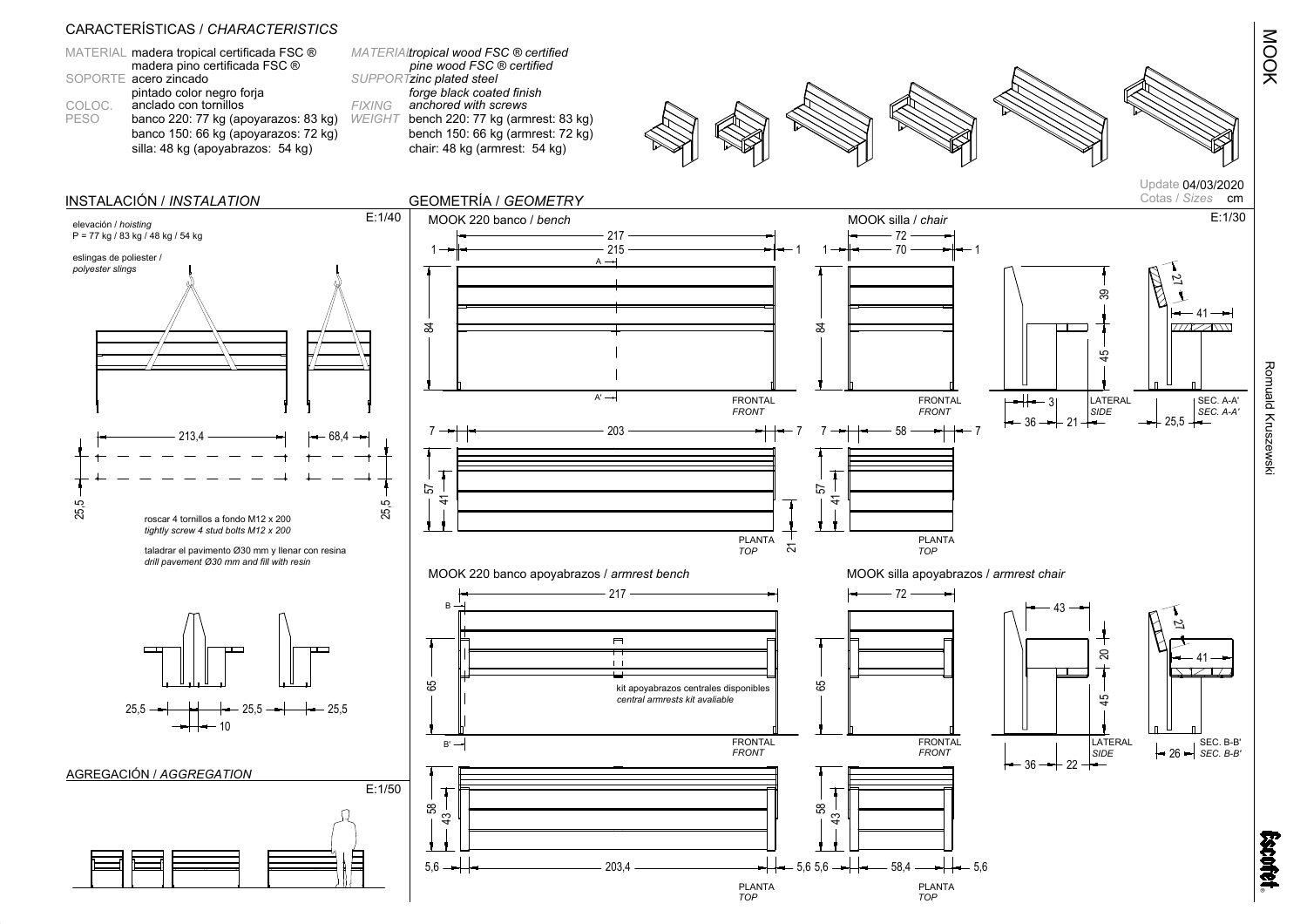|             | MATERIAL madera tropical certificada FSC ® |
|-------------|--------------------------------------------|
|             | madera pino certificada FSC ®              |
|             | SOPORTE acero zincado                      |
|             | pintado color negro forja                  |
| COLOC.      | anclado con tornillos                      |
| <b>PESO</b> | banco 220: 77 kg (apoyarazos: 83 kg)       |
|             | banco 150: 66 kg (apoyarazos: 72 kg)       |